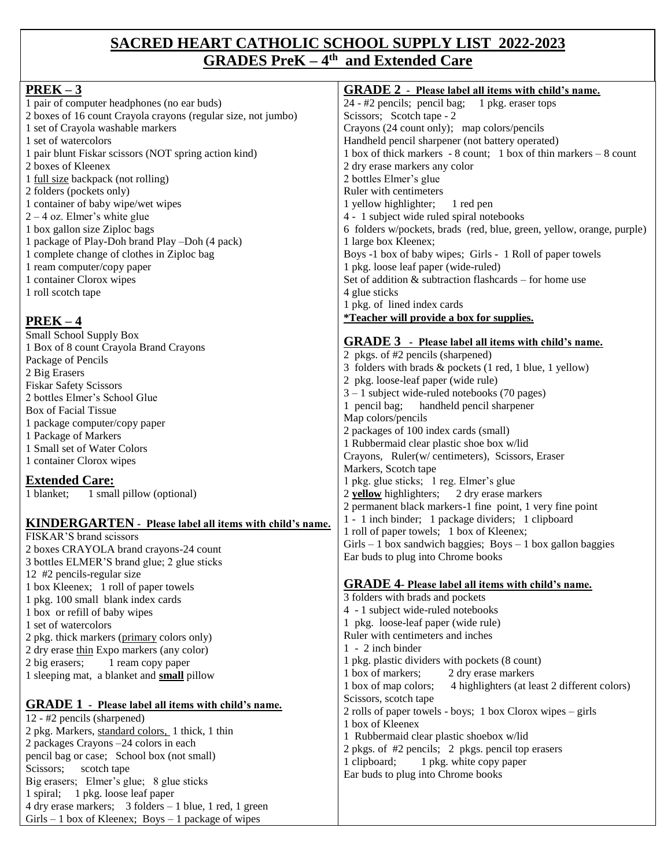### **SACRED HEART CATHOLIC SCHOOL SUPPLY LIST 2022-2023 GRADES PreK – 4 th and Extended Care**

| $PREK-3$                                                                                   | <b>GRADE 2</b> - Please label all items with child's name.            |
|--------------------------------------------------------------------------------------------|-----------------------------------------------------------------------|
| 1 pair of computer headphones (no ear buds)                                                | 24 - #2 pencils; pencil bag; 1 pkg. eraser tops                       |
| 2 boxes of 16 count Crayola crayons (regular size, not jumbo)                              | Scissors; Scotch tape - 2                                             |
|                                                                                            |                                                                       |
| 1 set of Crayola washable markers                                                          | Crayons (24 count only); map colors/pencils                           |
| 1 set of watercolors                                                                       | Handheld pencil sharpener (not battery operated)                      |
| 1 pair blunt Fiskar scissors (NOT spring action kind)                                      | 1 box of thick markers - 8 count; 1 box of thin markers $-8$ count    |
| 2 boxes of Kleenex                                                                         | 2 dry erase markers any color                                         |
| 1 full size backpack (not rolling)                                                         | 2 bottles Elmer's glue                                                |
| 2 folders (pockets only)                                                                   | Ruler with centimeters                                                |
| 1 container of baby wipe/wet wipes                                                         | 1 yellow highlighter;<br>1 red pen                                    |
| $2 - 4$ oz. Elmer's white glue                                                             | 4 - 1 subject wide ruled spiral notebooks                             |
| 1 box gallon size Ziploc bags                                                              | 6 folders w/pockets, brads (red, blue, green, yellow, orange, purple) |
| 1 package of Play-Doh brand Play -Doh (4 pack)                                             | 1 large box Kleenex;                                                  |
| 1 complete change of clothes in Ziploc bag                                                 | Boys -1 box of baby wipes; Girls - 1 Roll of paper towels             |
| 1 ream computer/copy paper                                                                 | 1 pkg. loose leaf paper (wide-ruled)                                  |
| 1 container Clorox wipes                                                                   | Set of addition $\&$ subtraction flashcards – for home use            |
| 1 roll scotch tape                                                                         | 4 glue sticks                                                         |
|                                                                                            | 1 pkg. of lined index cards                                           |
|                                                                                            | <i>*Teacher will provide a box for supplies.</i>                      |
| $PREK-4$                                                                                   |                                                                       |
| Small School Supply Box                                                                    | <b>GRADE 3</b> - Please label all items with child's name.            |
| 1 Box of 8 count Crayola Brand Crayons                                                     | 2 pkgs. of #2 pencils (sharpened)                                     |
| Package of Pencils                                                                         |                                                                       |
| 2 Big Erasers                                                                              | 3 folders with brads & pockets (1 red, 1 blue, 1 yellow)              |
| <b>Fiskar Safety Scissors</b>                                                              | 2 pkg. loose-leaf paper (wide rule)                                   |
| 2 bottles Elmer's School Glue                                                              | $3 - 1$ subject wide-ruled notebooks (70 pages)                       |
| Box of Facial Tissue                                                                       | 1 pencil bag;<br>handheld pencil sharpener                            |
| 1 package computer/copy paper                                                              | Map colors/pencils                                                    |
| 1 Package of Markers                                                                       | 2 packages of 100 index cards (small)                                 |
| 1 Small set of Water Colors                                                                | 1 Rubbermaid clear plastic shoe box w/lid                             |
| 1 container Clorox wipes                                                                   | Crayons, Ruler(w/ centimeters), Scissors, Eraser                      |
|                                                                                            | Markers, Scotch tape                                                  |
| <b>Extended Care:</b>                                                                      | 1 pkg. glue sticks; 1 reg. Elmer's glue                               |
| 1 blanket;<br>1 small pillow (optional)                                                    | 2 yellow highlighters; 2 dry erase markers                            |
|                                                                                            | 2 permanent black markers-1 fine point, 1 very fine point             |
|                                                                                            | 1 - 1 inch binder; 1 package dividers; 1 clipboard                    |
| <b>KINDERGARTEN</b> - Please label all items with child's name.<br>FISKAR'S brand scissors | 1 roll of paper towels; 1 box of Kleenex;                             |
|                                                                                            | $Girls - 1$ box sandwich baggies; Boys $-1$ box gallon baggies        |
| 2 boxes CRAYOLA brand crayons-24 count                                                     | Ear buds to plug into Chrome books                                    |
| 3 bottles ELMER'S brand glue; 2 glue sticks                                                |                                                                       |
| 12 #2 pencils-regular size                                                                 |                                                                       |
| 1 box Kleenex; 1 roll of paper towels                                                      | <b>GRADE 4- Please label all items with child's name.</b>             |
| 1 pkg. 100 small blank index cards                                                         | 3 folders with brads and pockets                                      |
| 1 box or refill of baby wipes                                                              | 4 - 1 subject wide-ruled notebooks                                    |
| 1 set of watercolors                                                                       | 1 pkg. loose-leaf paper (wide rule)                                   |
| 2 pkg. thick markers (primary colors only)                                                 | Ruler with centimeters and inches                                     |
| 2 dry erase thin Expo markers (any color)                                                  | 1 - 2 inch binder                                                     |
| 2 big erasers;<br>1 ream copy paper                                                        | 1 pkg. plastic dividers with pockets (8 count)                        |
| 1 sleeping mat, a blanket and <b>small</b> pillow                                          | 1 box of markers;<br>2 dry erase markers                              |
|                                                                                            | 1 box of map colors;<br>4 highlighters (at least 2 different colors)  |
|                                                                                            | Scissors, scotch tape                                                 |
| <b>GRADE 1</b> - Please label all items with child's name.                                 | 2 rolls of paper towels - boys; 1 box Clorox wipes $-$ girls          |
| 12 - #2 pencils (sharpened)                                                                | 1 box of Kleenex                                                      |
| 2 pkg. Markers, standard colors, 1 thick, 1 thin                                           | 1 Rubbermaid clear plastic shoebox w/lid                              |
| 2 packages Crayons -24 colors in each                                                      | 2 pkgs. of #2 pencils; 2 pkgs. pencil top erasers                     |
| pencil bag or case; School box (not small)                                                 | 1 clipboard;<br>1 pkg. white copy paper                               |
| Scissors;<br>scotch tape                                                                   | Ear buds to plug into Chrome books                                    |
| Big erasers; Elmer's glue; 8 glue sticks                                                   |                                                                       |
| 1 spiral; 1 pkg. loose leaf paper                                                          |                                                                       |
| 4 dry erase markers; 3 folders - 1 blue, 1 red, 1 green                                    |                                                                       |
| $Girls - 1 box of Kleenex; Boys - 1 package of wipes$                                      |                                                                       |